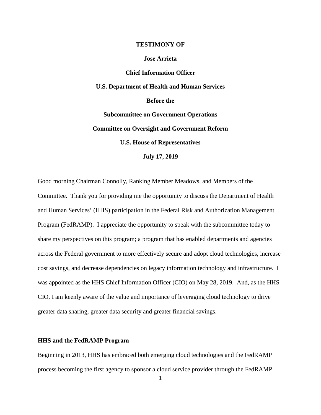## **TESTIMONY OF**

#### **Jose Arrieta**

**Chief Information Officer U.S. Department of Health and Human Services Before the Subcommittee on Government Operations Committee on Oversight and Government Reform U.S. House of Representatives July 17, 2019**

Good morning Chairman Connolly, Ranking Member Meadows, and Members of the Committee. Thank you for providing me the opportunity to discuss the Department of Health and Human Services' (HHS) participation in the Federal Risk and Authorization Management Program (FedRAMP). I appreciate the opportunity to speak with the subcommittee today to share my perspectives on this program; a program that has enabled departments and agencies across the Federal government to more effectively secure and adopt cloud technologies, increase cost savings, and decrease dependencies on legacy information technology and infrastructure. I was appointed as the HHS Chief Information Officer (CIO) on May 28, 2019. And, as the HHS CIO, I am keenly aware of the value and importance of leveraging cloud technology to drive greater data sharing, greater data security and greater financial savings.

# **HHS and the FedRAMP Program**

Beginning in 2013, HHS has embraced both emerging cloud technologies and the FedRAMP process becoming the first agency to sponsor a cloud service provider through the FedRAMP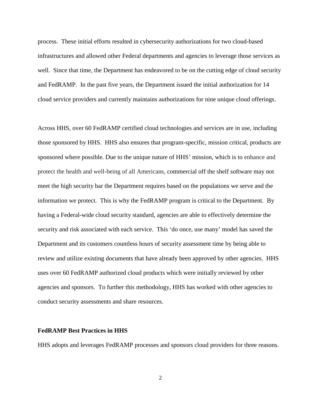process. These initial efforts resulted in cybersecurity authorizations for two cloud-based infrastructures and allowed other Federal departments and agencies to leverage those services as well. Since that time, the Department has endeavored to be on the cutting edge of cloud security and FedRAMP. In the past five years, the Department issued the initial authorization for 14 cloud service providers and currently maintains authorizations for nine unique cloud offerings.

Across HHS, over 60 FedRAMP certified cloud technologies and services are in use, including those sponsored by HHS. HHS also ensures that program-specific, mission critical, products are sponsored where possible. Due to the unique nature of HHS' mission, which is to enhance and protect the health and well-being of all Americans, commercial off the shelf software may not meet the high security bar the Department requires based on the populations we serve and the information we protect. This is why the FedRAMP program is critical to the Department. By having a Federal-wide cloud security standard, agencies are able to effectively determine the security and risk associated with each service. This 'do once, use many' model has saved the Department and its customers countless hours of security assessment time by being able to review and utilize existing documents that have already been approved by other agencies. HHS uses over 60 FedRAMP authorized cloud products which were initially reviewed by other agencies and sponsors. To further this methodology, HHS has worked with other agencies to conduct security assessments and share resources.

#### **FedRAMP Best Practices in HHS**

HHS adopts and leverages FedRAMP processes and sponsors cloud providers for three reasons.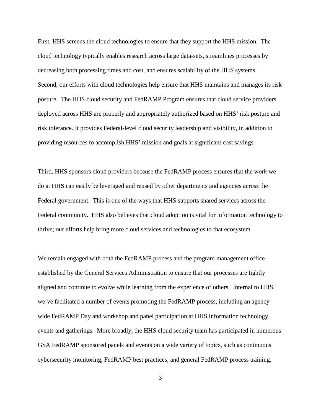First, HHS screens the cloud technologies to ensure that they support the HHS mission. The cloud technology typically enables research across large data-sets, streamlines processes by decreasing both processing times and cost, and ensures scalability of the HHS systems. Second, our efforts with cloud technologies help ensure that HHS maintains and manages its risk posture. The HHS cloud security and FedRAMP Program ensures that cloud service providers deployed across HHS are properly and appropriately authorized based on HHS' risk posture and risk tolerance. It provides Federal-level cloud security leadership and visibility, in addition to providing resources to accomplish HHS' mission and goals at significant cost savings.

Third, HHS sponsors cloud providers because the FedRAMP process ensures that the work we do at HHS can easily be leveraged and reused by other departments and agencies across the Federal government. This is one of the ways that HHS supports shared services across the Federal community. HHS also believes that cloud adoption is vital for information technology to thrive; our efforts help bring more cloud services and technologies to that ecosystem.

We remain engaged with both the FedRAMP process and the program management office established by the General Services Administration to ensure that our processes are tightly aligned and continue to evolve while learning from the experience of others. Internal to HHS, we've facilitated a number of events promoting the FedRAMP process, including an agencywide FedRAMP Day and workshop and panel participation at HHS information technology events and gatherings. More broadly, the HHS cloud security team has participated in numerous GSA FedRAMP sponsored panels and events on a wide variety of topics, such as continuous cybersecurity monitoring, FedRAMP best practices, and general FedRAMP process training.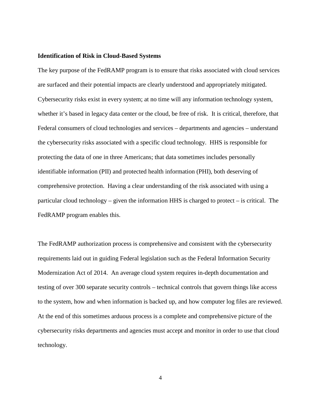## **Identification of Risk in Cloud-Based Systems**

The key purpose of the FedRAMP program is to ensure that risks associated with cloud services are surfaced and their potential impacts are clearly understood and appropriately mitigated. Cybersecurity risks exist in every system; at no time will any information technology system, whether it's based in legacy data center or the cloud, be free of risk. It is critical, therefore, that Federal consumers of cloud technologies and services – departments and agencies – understand the cybersecurity risks associated with a specific cloud technology. HHS is responsible for protecting the data of one in three Americans; that data sometimes includes personally identifiable information (PII) and protected health information (PHI), both deserving of comprehensive protection. Having a clear understanding of the risk associated with using a particular cloud technology – given the information HHS is charged to protect – is critical. The FedRAMP program enables this.

The FedRAMP authorization process is comprehensive and consistent with the cybersecurity requirements laid out in guiding Federal legislation such as the Federal Information Security Modernization Act of 2014. An average cloud system requires in-depth documentation and testing of over 300 separate security controls – technical controls that govern things like access to the system, how and when information is backed up, and how computer log files are reviewed. At the end of this sometimes arduous process is a complete and comprehensive picture of the cybersecurity risks departments and agencies must accept and monitor in order to use that cloud technology.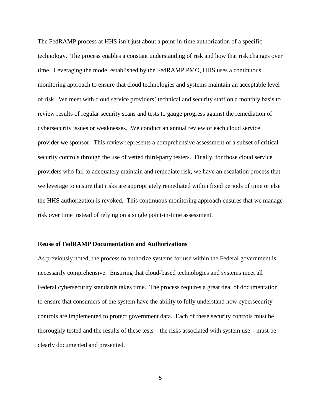The FedRAMP process at HHS isn't just about a point-in-time authorization of a specific technology. The process enables a constant understanding of risk and how that risk changes over time. Leveraging the model established by the FedRAMP PMO, HHS uses a continuous monitoring approach to ensure that cloud technologies and systems maintain an acceptable level of risk. We meet with cloud service providers' technical and security staff on a monthly basis to review results of regular security scans and tests to gauge progress against the remediation of cybersecurity issues or weaknesses. We conduct an annual review of each cloud service provider we sponsor. This review represents a comprehensive assessment of a subset of critical security controls through the use of vetted third-party testers. Finally, for those cloud service providers who fail to adequately maintain and remediate risk, we have an escalation process that we leverage to ensure that risks are appropriately remediated within fixed periods of time or else the HHS authorization is revoked. This continuous monitoring approach ensures that we manage risk over time instead of relying on a single point-in-time assessment.

## **Reuse of FedRAMP Documentation and Authorizations**

As previously noted, the process to authorize systems for use within the Federal government is necessarily comprehensive. Ensuring that cloud-based technologies and systems meet all Federal cybersecurity standards takes time. The process requires a great deal of documentation to ensure that consumers of the system have the ability to fully understand how cybersecurity controls are implemented to protect government data. Each of these security controls must be thoroughly tested and the results of these tests – the risks associated with system use – must be clearly documented and presented.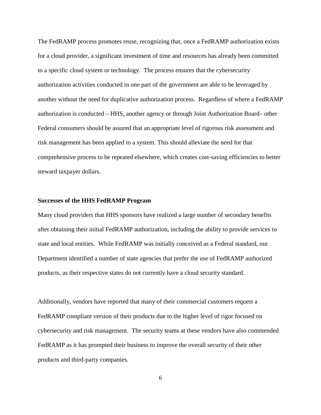The FedRAMP process promotes reuse, recognizing that, once a FedRAMP authorization exists for a cloud provider, a significant investment of time and resources has already been committed to a specific cloud system or technology. The process ensures that the cybersecurity authorization activities conducted in one part of the government are able to be leveraged by another without the need for duplicative authorization process. Regardless of where a FedRAMP authorization is conducted – HHS, another agency or through Joint Authorization Board– other Federal consumers should be assured that an appropriate level of rigorous risk assessment and risk management has been applied to a system. This should alleviate the need for that comprehensive process to be repeated elsewhere, which creates cost-saving efficiencies to better steward taxpayer dollars.

## **Successes of the HHS FedRAMP Program**

Many cloud providers that HHS sponsors have realized a large number of secondary benefits after obtaining their initial FedRAMP authorization, including the ability to provide services to state and local entities. While FedRAMP was initially conceived as a Federal standard, our Department identified a number of state agencies that prefer the use of FedRAMP authorized products, as their respective states do not currently have a cloud security standard.

Additionally, vendors have reported that many of their commercial customers request a FedRAMP compliant version of their products due to the higher level of rigor focused on cybersecurity and risk management. The security teams at these vendors have also commended FedRAMP as it has prompted their business to improve the overall security of their other products and third-party companies.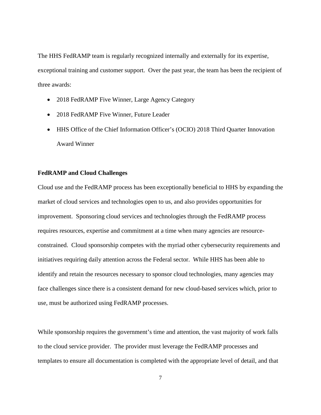The HHS FedRAMP team is regularly recognized internally and externally for its expertise, exceptional training and customer support. Over the past year, the team has been the recipient of three awards:

- 2018 FedRAMP Five Winner, Large Agency Category
- 2018 FedRAMP Five Winner, Future Leader
- HHS Office of the Chief Information Officer's (OCIO) 2018 Third Quarter Innovation Award Winner

# **FedRAMP and Cloud Challenges**

Cloud use and the FedRAMP process has been exceptionally beneficial to HHS by expanding the market of cloud services and technologies open to us, and also provides opportunities for improvement. Sponsoring cloud services and technologies through the FedRAMP process requires resources, expertise and commitment at a time when many agencies are resourceconstrained. Cloud sponsorship competes with the myriad other cybersecurity requirements and initiatives requiring daily attention across the Federal sector. While HHS has been able to identify and retain the resources necessary to sponsor cloud technologies, many agencies may face challenges since there is a consistent demand for new cloud-based services which, prior to use, must be authorized using FedRAMP processes.

While sponsorship requires the government's time and attention, the vast majority of work falls to the cloud service provider. The provider must leverage the FedRAMP processes and templates to ensure all documentation is completed with the appropriate level of detail, and that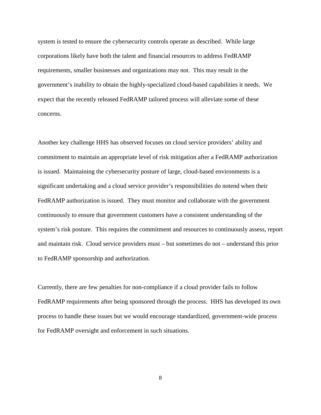system is tested to ensure the cybersecurity controls operate as described. While large corporations likely have both the talent and financial resources to address FedRAMP requirements, smaller businesses and organizations may not. This may result in the government's inability to obtain the highly-specialized cloud-based capabilities it needs. We expect that the recently released FedRAMP tailored process will alleviate some of these concerns.

Another key challenge HHS has observed focuses on cloud service providers' ability and commitment to maintain an appropriate level of risk mitigation after a FedRAMP authorization is issued. Maintaining the cybersecurity posture of large, cloud-based environments is a significant undertaking and a cloud service provider's responsibilities do notend when their FedRAMP authorization is issued. They must monitor and collaborate with the government continuously to ensure that government customers have a consistent understanding of the system's risk posture. This requires the commitment and resources to continuously assess, report and maintain risk. Cloud service providers must – but sometimes do not – understand this prior to FedRAMP sponsorship and authorization.

Currently, there are few penalties for non-compliance if a cloud provider fails to follow FedRAMP requirements after being sponsored through the process. HHS has developed its own process to handle these issues but we would encourage standardized, government-wide process for FedRAMP oversight and enforcement in such situations.